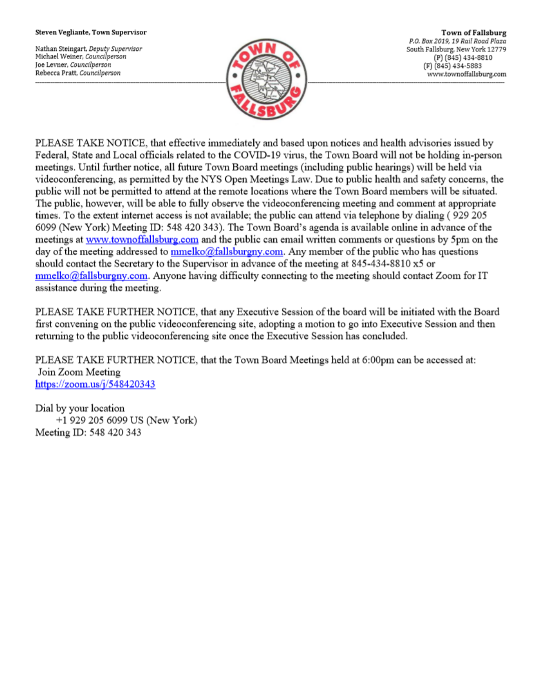### Steven Vegliante, Town Supervisor

Nathan Steingart, Deputy Supervisor Michael Weiner, Councilperson Joe Levner, Councilperson Rebecca Pratt, Councilperson



**Town of Fallsburg** P.O. Box 2019, 19 Rail Road Plaza South Fallsburg, New York 12779 (P) (845) 434-8810 (F) (845) 434-5883 www.townoffallsburg.com

PLEASE TAKE NOTICE, that effective immediately and based upon notices and health advisories issued by Federal, State and Local officials related to the COVID-19 virus, the Town Board will not be holding in-person meetings. Until further notice, all future Town Board meetings (including public hearings) will be held via videoconferencing, as permitted by the NYS Open Meetings Law. Due to public health and safety concerns, the public will not be permitted to attend at the remote locations where the Town Board members will be situated. The public, however, will be able to fully observe the videoconferencing meeting and comment at appropriate times. To the extent internet access is not available; the public can attend via telephone by dialing (929 205 6099 (New York) Meeting ID: 548 420 343). The Town Board's agenda is available online in advance of the meetings at www.townoffallsburg.com and the public can email written comments or questions by 5pm on the day of the meeting addressed to **mmelko@fallsburgny.com**. Any member of the public who has questions should contact the Secretary to the Supervisor in advance of the meeting at 845-434-8810 x5 or  $mmelko@fallsburgny.com$ . Anyone having difficulty connecting to the meeting should contact Zoom for IT assistance during the meeting.

PLEASE TAKE FURTHER NOTICE, that any Executive Session of the board will be initiated with the Board first convening on the public videoconferencing site, adopting a motion to go into Executive Session and then returning to the public videoconferencing site once the Executive Session has concluded.

PLEASE TAKE FURTHER NOTICE, that the Town Board Meetings held at 6:00pm can be accessed at: Join Zoom Meeting https://zoom.us/j/548420343

Dial by your location +1 929 205 6099 US (New York) Meeting ID: 548 420 343